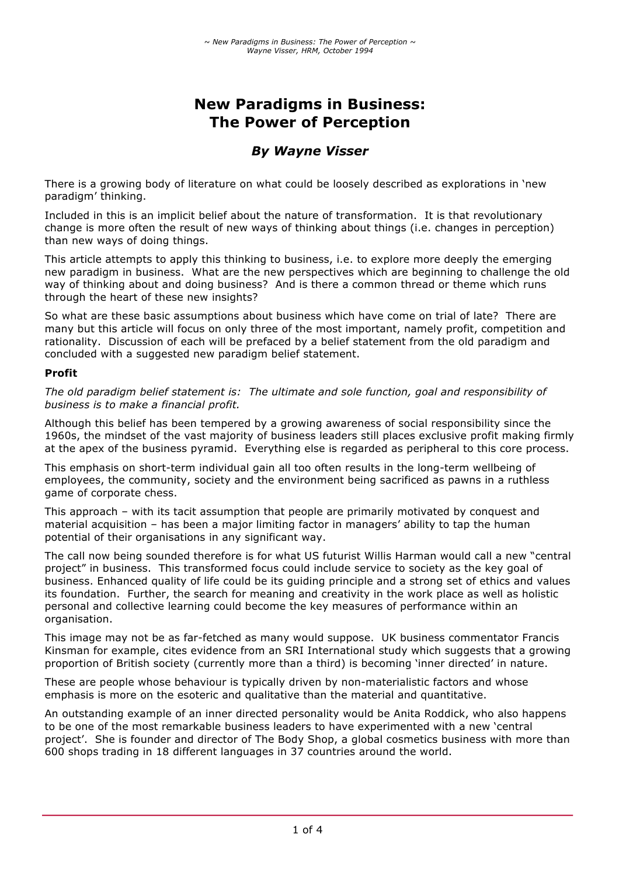# **New Paradigms in Business: The Power of Perception**

## *By Wayne Visser*

There is a growing body of literature on what could be loosely described as explorations in 'new paradigm' thinking.

Included in this is an implicit belief about the nature of transformation. It is that revolutionary change is more often the result of new ways of thinking about things (i.e. changes in perception) than new ways of doing things.

This article attempts to apply this thinking to business, i.e. to explore more deeply the emerging new paradigm in business. What are the new perspectives which are beginning to challenge the old way of thinking about and doing business? And is there a common thread or theme which runs through the heart of these new insights?

So what are these basic assumptions about business which have come on trial of late? There are many but this article will focus on only three of the most important, namely profit, competition and rationality. Discussion of each will be prefaced by a belief statement from the old paradigm and concluded with a suggested new paradigm belief statement.

#### **Profit**

*The old paradigm belief statement is: The ultimate and sole function, goal and responsibility of business is to make a financial profit.*

Although this belief has been tempered by a growing awareness of social responsibility since the 1960s, the mindset of the vast majority of business leaders still places exclusive profit making firmly at the apex of the business pyramid. Everything else is regarded as peripheral to this core process.

This emphasis on short-term individual gain all too often results in the long-term wellbeing of employees, the community, society and the environment being sacrificed as pawns in a ruthless game of corporate chess.

This approach – with its tacit assumption that people are primarily motivated by conquest and material acquisition – has been a major limiting factor in managers' ability to tap the human potential of their organisations in any significant way.

The call now being sounded therefore is for what US futurist Willis Harman would call a new "central project" in business. This transformed focus could include service to society as the key goal of business. Enhanced quality of life could be its guiding principle and a strong set of ethics and values its foundation. Further, the search for meaning and creativity in the work place as well as holistic personal and collective learning could become the key measures of performance within an organisation.

This image may not be as far-fetched as many would suppose. UK business commentator Francis Kinsman for example, cites evidence from an SRI International study which suggests that a growing proportion of British society (currently more than a third) is becoming 'inner directed' in nature.

These are people whose behaviour is typically driven by non-materialistic factors and whose emphasis is more on the esoteric and qualitative than the material and quantitative.

An outstanding example of an inner directed personality would be Anita Roddick, who also happens to be one of the most remarkable business leaders to have experimented with a new 'central project'. She is founder and director of The Body Shop, a global cosmetics business with more than 600 shops trading in 18 different languages in 37 countries around the world.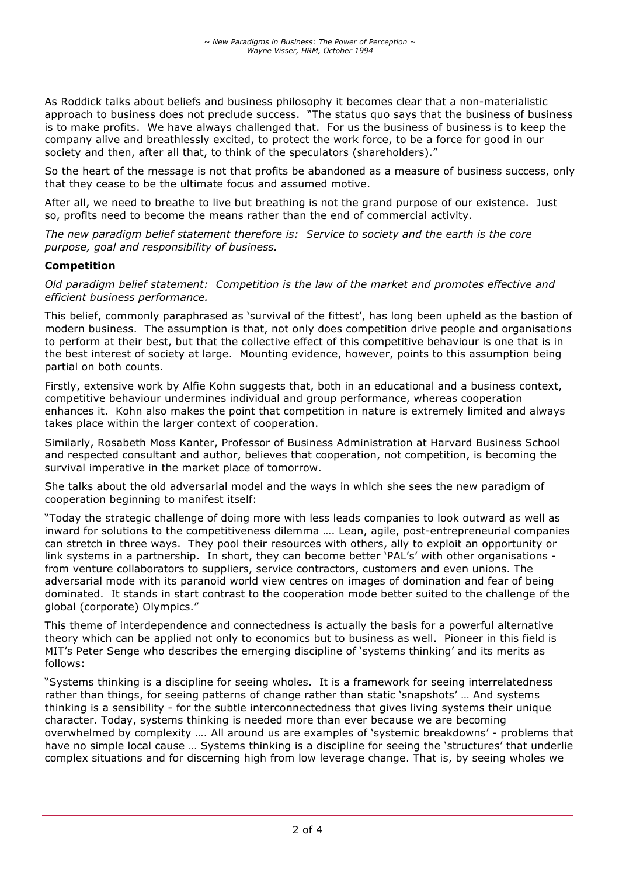As Roddick talks about beliefs and business philosophy it becomes clear that a non-materialistic approach to business does not preclude success. "The status quo says that the business of business is to make profits. We have always challenged that. For us the business of business is to keep the company alive and breathlessly excited, to protect the work force, to be a force for good in our society and then, after all that, to think of the speculators (shareholders)."

So the heart of the message is not that profits be abandoned as a measure of business success, only that they cease to be the ultimate focus and assumed motive.

After all, we need to breathe to live but breathing is not the grand purpose of our existence. Just so, profits need to become the means rather than the end of commercial activity.

*The new paradigm belief statement therefore is: Service to society and the earth is the core purpose, goal and responsibility of business.*

#### **Competition**

*Old paradigm belief statement: Competition is the law of the market and promotes effective and efficient business performance.*

This belief, commonly paraphrased as 'survival of the fittest', has long been upheld as the bastion of modern business. The assumption is that, not only does competition drive people and organisations to perform at their best, but that the collective effect of this competitive behaviour is one that is in the best interest of society at large. Mounting evidence, however, points to this assumption being partial on both counts.

Firstly, extensive work by Alfie Kohn suggests that, both in an educational and a business context, competitive behaviour undermines individual and group performance, whereas cooperation enhances it. Kohn also makes the point that competition in nature is extremely limited and always takes place within the larger context of cooperation.

Similarly, Rosabeth Moss Kanter, Professor of Business Administration at Harvard Business School and respected consultant and author, believes that cooperation, not competition, is becoming the survival imperative in the market place of tomorrow.

She talks about the old adversarial model and the ways in which she sees the new paradigm of cooperation beginning to manifest itself:

"Today the strategic challenge of doing more with less leads companies to look outward as well as inward for solutions to the competitiveness dilemma …. Lean, agile, post-entrepreneurial companies can stretch in three ways. They pool their resources with others, ally to exploit an opportunity or link systems in a partnership. In short, they can become better 'PAL's' with other organisations from venture collaborators to suppliers, service contractors, customers and even unions. The adversarial mode with its paranoid world view centres on images of domination and fear of being dominated. It stands in start contrast to the cooperation mode better suited to the challenge of the global (corporate) Olympics."

This theme of interdependence and connectedness is actually the basis for a powerful alternative theory which can be applied not only to economics but to business as well. Pioneer in this field is MIT's Peter Senge who describes the emerging discipline of 'systems thinking' and its merits as follows:

"Systems thinking is a discipline for seeing wholes. It is a framework for seeing interrelatedness rather than things, for seeing patterns of change rather than static 'snapshots' … And systems thinking is a sensibility - for the subtle interconnectedness that gives living systems their unique character. Today, systems thinking is needed more than ever because we are becoming overwhelmed by complexity …. All around us are examples of 'systemic breakdowns' - problems that have no simple local cause … Systems thinking is a discipline for seeing the 'structures' that underlie complex situations and for discerning high from low leverage change. That is, by seeing wholes we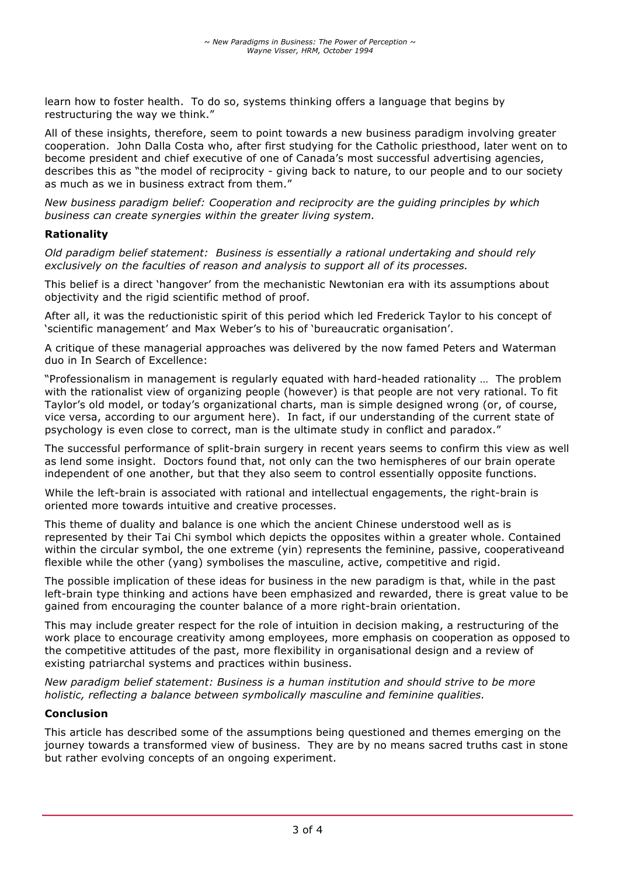learn how to foster health. To do so, systems thinking offers a language that begins by restructuring the way we think."

All of these insights, therefore, seem to point towards a new business paradigm involving greater cooperation. John Dalla Costa who, after first studying for the Catholic priesthood, later went on to become president and chief executive of one of Canada's most successful advertising agencies, describes this as "the model of reciprocity - giving back to nature, to our people and to our society as much as we in business extract from them."

*New business paradigm belief: Cooperation and reciprocity are the guiding principles by which business can create synergies within the greater living system.*

#### **Rationality**

*Old paradigm belief statement: Business is essentially a rational undertaking and should rely exclusively on the faculties of reason and analysis to support all of its processes.*

This belief is a direct 'hangover' from the mechanistic Newtonian era with its assumptions about objectivity and the rigid scientific method of proof.

After all, it was the reductionistic spirit of this period which led Frederick Taylor to his concept of 'scientific management' and Max Weber's to his of 'bureaucratic organisation'.

A critique of these managerial approaches was delivered by the now famed Peters and Waterman duo in In Search of Excellence:

"Professionalism in management is regularly equated with hard-headed rationality … The problem with the rationalist view of organizing people (however) is that people are not very rational. To fit Taylor's old model, or today's organizational charts, man is simple designed wrong (or, of course, vice versa, according to our argument here). In fact, if our understanding of the current state of psychology is even close to correct, man is the ultimate study in conflict and paradox."

The successful performance of split-brain surgery in recent years seems to confirm this view as well as lend some insight. Doctors found that, not only can the two hemispheres of our brain operate independent of one another, but that they also seem to control essentially opposite functions.

While the left-brain is associated with rational and intellectual engagements, the right-brain is oriented more towards intuitive and creative processes.

This theme of duality and balance is one which the ancient Chinese understood well as is represented by their Tai Chi symbol which depicts the opposites within a greater whole. Contained within the circular symbol, the one extreme (yin) represents the feminine, passive, cooperativeand flexible while the other (yang) symbolises the masculine, active, competitive and rigid.

The possible implication of these ideas for business in the new paradigm is that, while in the past left-brain type thinking and actions have been emphasized and rewarded, there is great value to be gained from encouraging the counter balance of a more right-brain orientation.

This may include greater respect for the role of intuition in decision making, a restructuring of the work place to encourage creativity among employees, more emphasis on cooperation as opposed to the competitive attitudes of the past, more flexibility in organisational design and a review of existing patriarchal systems and practices within business.

*New paradigm belief statement: Business is a human institution and should strive to be more holistic, reflecting a balance between symbolically masculine and feminine qualities.*

#### **Conclusion**

This article has described some of the assumptions being questioned and themes emerging on the journey towards a transformed view of business. They are by no means sacred truths cast in stone but rather evolving concepts of an ongoing experiment.